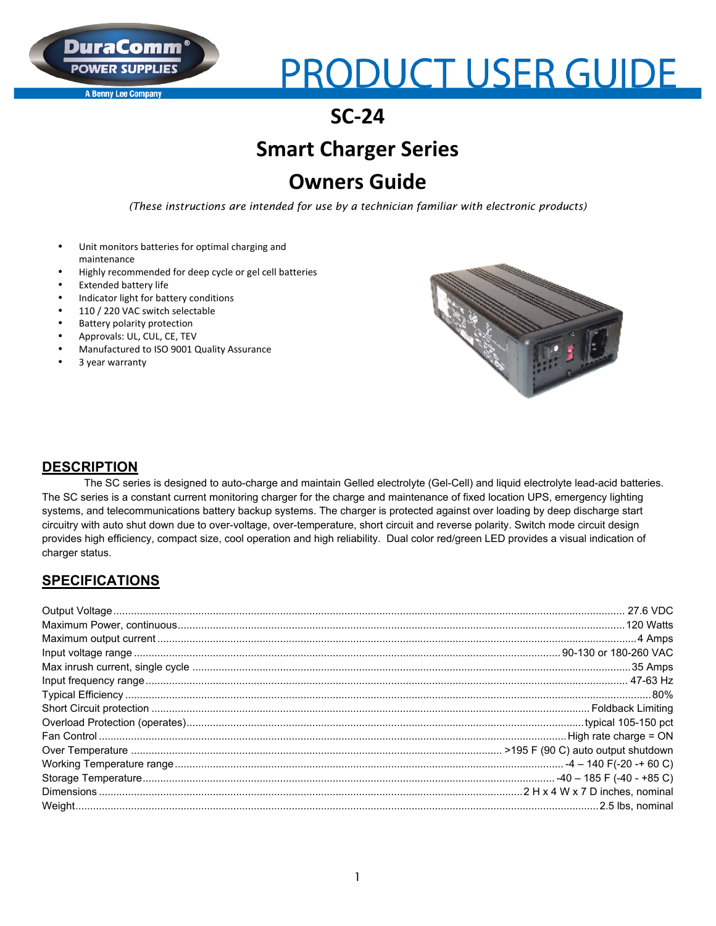#### **A Benny Lee Company**

# **PRODUCT USER GUIDE**

## **SC-24**

# **Smart Charger Series**

## **Owners Guide**

*(These instructions are intended for use by a technician familiar with electronic products)*

- Unit monitors batteries for optimal charging and maintenance
- Highly recommended for deep cycle or gel cell batteries
- **Extended battery life**
- Indicator light for battery conditions
- 110 / 220 VAC switch selectable
- **Battery polarity protection**
- Approvals: UL, CUL, CE, TEV
- Manufactured to ISO 9001 Quality Assurance
- 3 year warranty



#### **DESCRIPTION**

The SC series is designed to auto-charge and maintain Gelled electrolyte (Gel-Cell) and liquid electrolyte lead-acid batteries. The SC series is a constant current monitoring charger for the charge and maintenance of fixed location UPS, emergency lighting systems, and telecommunications battery backup systems. The charger is protected against over loading by deep discharge start circuitry with auto shut down due to over-voltage, over-temperature, short circuit and reverse polarity. Switch mode circuit design provides high efficiency, compact size, cool operation and high reliability. Dual color red/green LED provides a visual indication of charger status.

### **SPECIFICATIONS**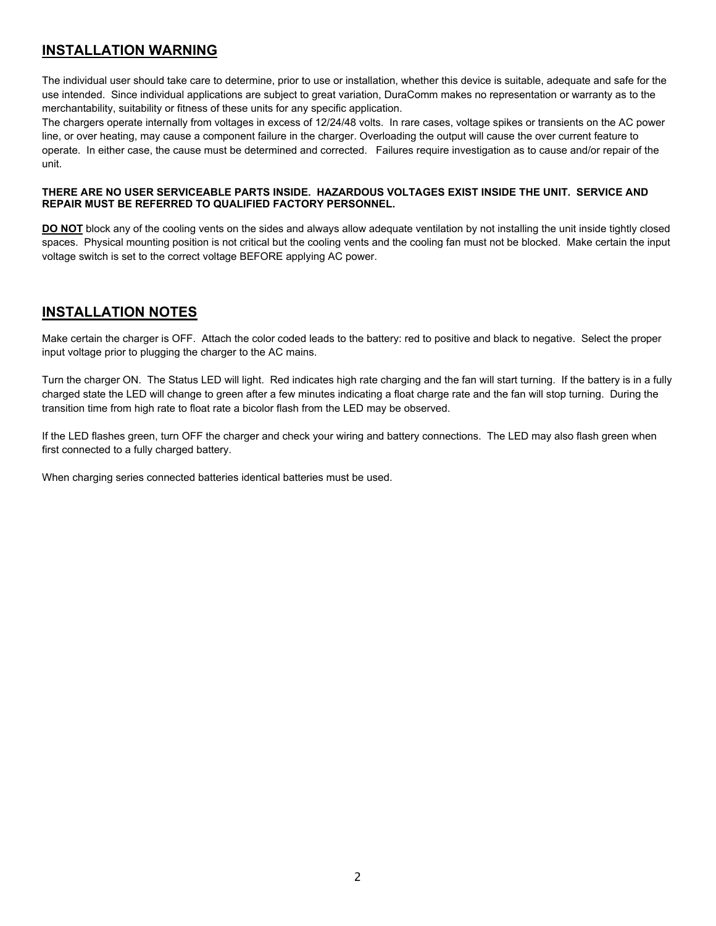## **INSTALLATION WARNING**

The individual user should take care to determine, prior to use or installation, whether this device is suitable, adequate and safe for the use intended. Since individual applications are subject to great variation, DuraComm makes no representation or warranty as to the merchantability, suitability or fitness of these units for any specific application.

The chargers operate internally from voltages in excess of 12/24/48 volts. In rare cases, voltage spikes or transients on the AC power line, or over heating, may cause a component failure in the charger. Overloading the output will cause the over current feature to operate. In either case, the cause must be determined and corrected. Failures require investigation as to cause and/or repair of the unit.

#### **THERE ARE NO USER SERVICEABLE PARTS INSIDE. HAZARDOUS VOLTAGES EXIST INSIDE THE UNIT. SERVICE AND REPAIR MUST BE REFERRED TO QUALIFIED FACTORY PERSONNEL.**

**DO NOT** block any of the cooling vents on the sides and always allow adequate ventilation by not installing the unit inside tightly closed spaces. Physical mounting position is not critical but the cooling vents and the cooling fan must not be blocked. Make certain the input voltage switch is set to the correct voltage BEFORE applying AC power.

### **INSTALLATION NOTES**

Make certain the charger is OFF. Attach the color coded leads to the battery: red to positive and black to negative. Select the proper input voltage prior to plugging the charger to the AC mains.

Turn the charger ON. The Status LED will light. Red indicates high rate charging and the fan will start turning. If the battery is in a fully charged state the LED will change to green after a few minutes indicating a float charge rate and the fan will stop turning. During the transition time from high rate to float rate a bicolor flash from the LED may be observed.

If the LED flashes green, turn OFF the charger and check your wiring and battery connections. The LED may also flash green when first connected to a fully charged battery.

When charging series connected batteries identical batteries must be used.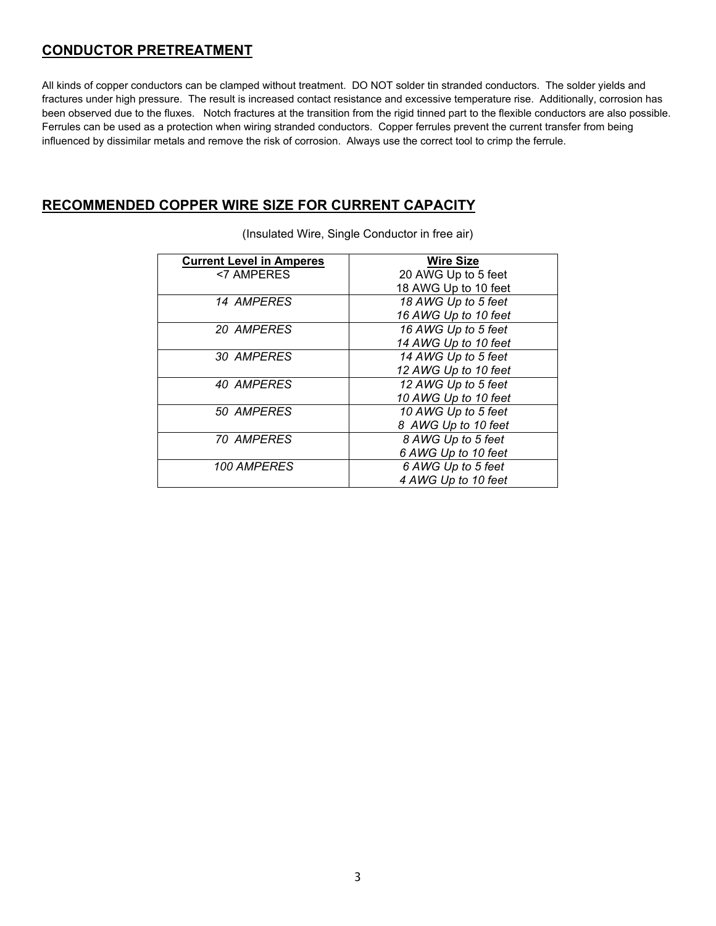### **CONDUCTOR PRETREATMENT**

All kinds of copper conductors can be clamped without treatment. DO NOT solder tin stranded conductors. The solder yields and fractures under high pressure. The result is increased contact resistance and excessive temperature rise. Additionally, corrosion has been observed due to the fluxes. Notch fractures at the transition from the rigid tinned part to the flexible conductors are also possible. Ferrules can be used as a protection when wiring stranded conductors. Copper ferrules prevent the current transfer from being influenced by dissimilar metals and remove the risk of corrosion. Always use the correct tool to crimp the ferrule.

#### **RECOMMENDED COPPER WIRE SIZE FOR CURRENT CAPACITY**

| <b>Current Level in Amperes</b> | <b>Wire Size</b>     |
|---------------------------------|----------------------|
| <7 AMPERES                      | 20 AWG Up to 5 feet  |
|                                 | 18 AWG Up to 10 feet |
| 14 AMPERES                      | 18 AWG Up to 5 feet  |
|                                 | 16 AWG Up to 10 feet |
| 20 AMPERES                      | 16 AWG Up to 5 feet  |
|                                 | 14 AWG Up to 10 feet |
| 30 AMPERES                      | 14 AWG Up to 5 feet  |
|                                 | 12 AWG Up to 10 feet |
| 40 AMPERES                      | 12 AWG Up to 5 feet  |
|                                 | 10 AWG Up to 10 feet |
| 50 AMPERES                      | 10 AWG Up to 5 feet  |
|                                 | 8 AWG Up to 10 feet  |
| <i><b>70 AMPERES</b></i>        | 8 AWG Up to 5 feet   |
|                                 | 6 AWG Up to 10 feet  |
| 100 AMPERES                     | 6 AWG Up to 5 feet   |
|                                 | 4 AWG Up to 10 feet  |

(Insulated Wire, Single Conductor in free air)